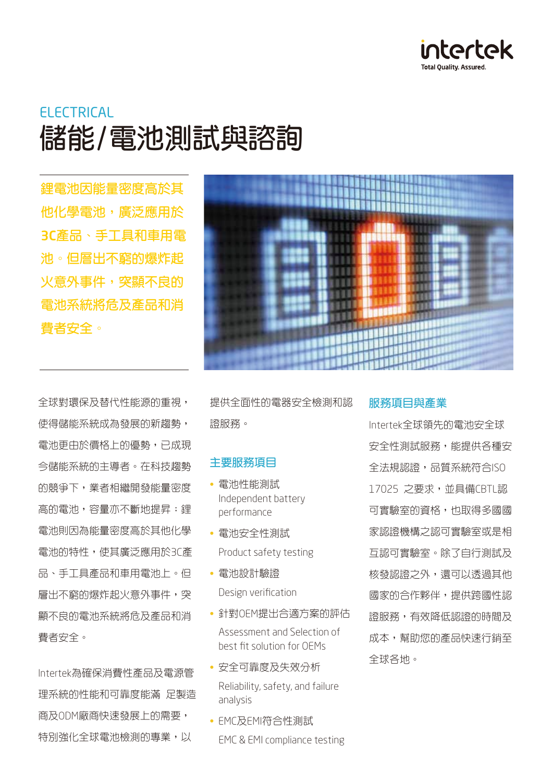

# ELECTRICAL **儲能/電池測試與諮詢**

**鋰電池因能量密度高於其 他化學電池,廣泛應用於** 3C**產品、手工具和車用電 池。但層出不窮的爆炸起 火意外事件,突顯不良的 電池系統將危及產品和消 費者安全。**

全球對環保及替代性能源的重視, 使得儲能系統成為發展的新趨勢, 電池更由於價格上的優勢,已成現 今儲能系統的主導者。在科技趨勢 的競爭下,業者相繼開發能量密度 高的電池,容量亦不斷地提昇;鋰 電池則因為能量密度高於其他化學 電池的特性,使其廣泛應用於3C產 品、手工具產品和車用電池上。但 層出不窮的爆炸起火意外事件,突 顯不良的電池系統將危及產品和消 費者安全。

Intertek為確保消費性產品及電源管 理系統的性能和可靠度能滿 足製造 商及ODM廠商快速發展上的需要, 特別強化全球電池檢測的專業,以



提供全面性的電器安全檢測和認 證服務。

#### **主要服務項目**

- 電池性能測試 Independent battery performance
- 電池安全性測試 Product safety testing
- 電池設計驗證 Design verification
- 針對OEM提出合適方案的評估 Assessment and Selection of best fit solution for OEMs
- 安全可靠度及失效分析 Reliability, safety, and failure analysis
- EMC及EMI符合性測試 EMC & EMI compliance testing

#### **服務項目與產業**

Intertek全球領先的電池安全球 安全性測試服務,能提供各種安 全法規認證,品質系統符合ISO 17025 之要求,並具備CBTL認 可實驗室的資格,也取得多國國 家認證機構之認可實驗室或是相 互認可實驗室。除了自行測試及 核發認證之外,還可以透過其他 國家的合作夥伴,提供跨國性認 證服務,有效降低認證的時間及 成本,幫助您的產品快速行銷至 全球各地。